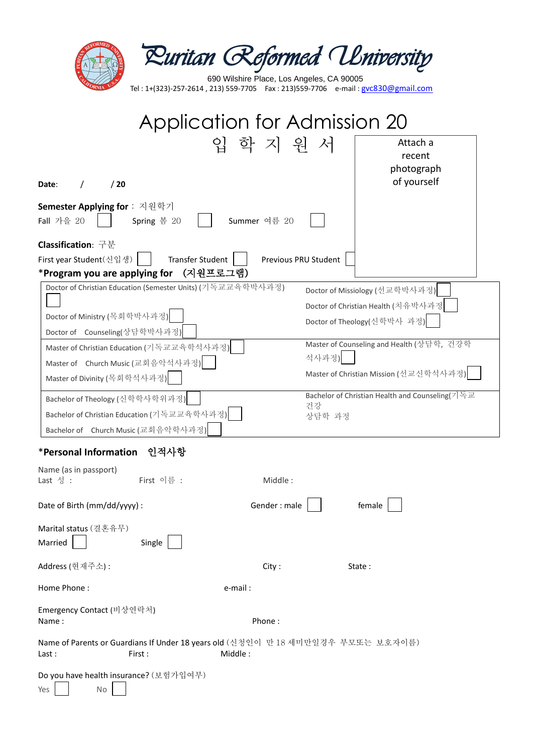|                                                                                                                         | Ruritan Reformed University<br>690 Wilshire Place, Los Angeles, CA 90005 |  |  |
|-------------------------------------------------------------------------------------------------------------------------|--------------------------------------------------------------------------|--|--|
| Tel: 1+(323)-257-2614, 213) 559-7705  Fax: 213)559-7706  e-mail: gvc830@gmail.com                                       |                                                                          |  |  |
| Application for Admission 20                                                                                            |                                                                          |  |  |
|                                                                                                                         | 입 학 지 워 서<br>Attach a                                                    |  |  |
|                                                                                                                         | recent<br>photograph                                                     |  |  |
| /20<br>Date:                                                                                                            | of yourself                                                              |  |  |
| Semester Applying for : 지원학기<br>Fall 가을 20<br>Spring 봄 20                                                               | Summer 여름 20                                                             |  |  |
| Classification: 구분<br><b>Transfer Student</b><br>First year Student(신입생)  <br>*Program you are applying for<br>(지원프로그램) | Previous PRU Student                                                     |  |  |
| Doctor of Christian Education (Semester Units) (기독교교육학박사과정)                                                             | Doctor of Missiology (선교학박사과정)                                           |  |  |
|                                                                                                                         | Doctor of Christian Health (치유박사과정                                       |  |  |
| Doctor of Ministry (목회학박사과정)                                                                                            | Doctor of Theology(신학박사 과정)                                              |  |  |
| Doctor of Counseling(상담학박사과정)                                                                                           |                                                                          |  |  |
| Master of Christian Education (기독교교육학석사과정)                                                                              | Master of Counseling and Health (상담학, 건강학<br>석사과정)                       |  |  |
| Master of Church Music (교회음악석사과정)                                                                                       | Master of Christian Mission (선교신학석사과정)                                   |  |  |
| Master of Divinity (목회학석사과정)                                                                                            |                                                                          |  |  |
| Bachelor of Theology (신학학사학위과정)                                                                                         | Bachelor of Christian Health and Counseling(기독교<br>건강                    |  |  |
| Bachelor of Christian Education (기독교교육학사과정)                                                                             | 상담학 과정                                                                   |  |  |
| Bachelor of Church Music (교회음악학사과정)                                                                                     |                                                                          |  |  |
| *Personal Information 인적사항                                                                                              |                                                                          |  |  |
| Name (as in passport)                                                                                                   |                                                                          |  |  |
| First 이름 :<br>Last 성 :                                                                                                  | Middle:                                                                  |  |  |
| Date of Birth (mm/dd/yyyy) :                                                                                            | Gender: male<br>female                                                   |  |  |
| Marital status (결혼유무)<br>Married<br>Single                                                                              |                                                                          |  |  |
|                                                                                                                         |                                                                          |  |  |
| Address (현재주소):                                                                                                         | City:<br>State:                                                          |  |  |
| Home Phone:                                                                                                             | e-mail:                                                                  |  |  |
| Emergency Contact (비상연락처)<br>Name:                                                                                      | Phone:                                                                   |  |  |
| Name of Parents or Guardians If Under 18 years old (신청인이 만 18 세미만일경우 부모또는 보호자이름)<br>Middle:<br>Last:<br>First:          |                                                                          |  |  |
| Do you have health insurance? (보험가입여부)<br>Yes<br>No                                                                     |                                                                          |  |  |